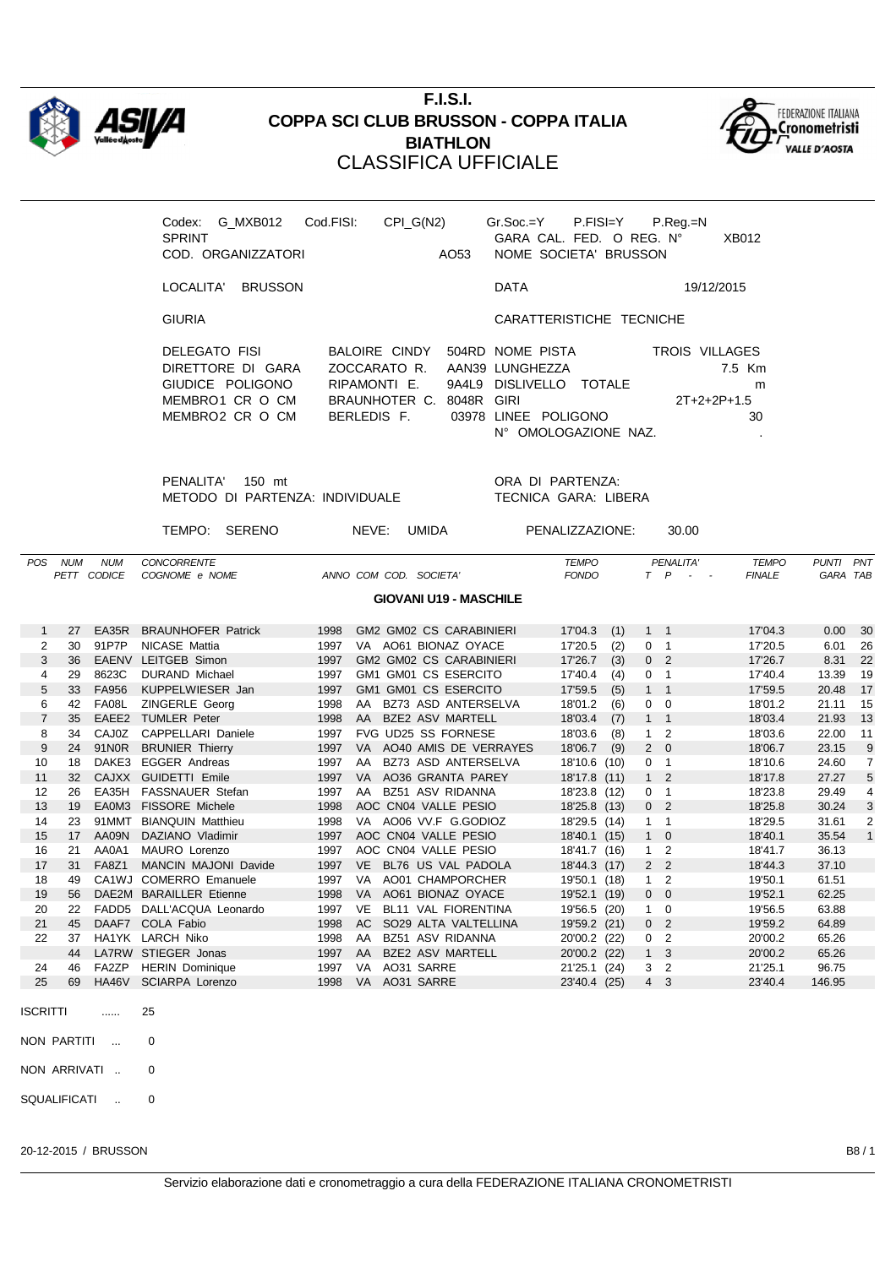

## **F.I.S.I. COPPA SCI CLUB BRUSSON - COPPA ITALIA BIATHLON** CLASSIFICA UFFICIALE



| G MXB012 Cod.FISI:<br>Codex:<br><b>SPRINT</b><br>COD. ORGANIZZATORI                          | CPI G(N2)                                                                     | AO <sub>53</sub> | $Gr.Soc = Y$ P.FISI=Y                                                                  | GARA CAL. FED. O REG. N°<br>NOME SOCIETA' BRUSSON | P.Reg.=N                        | XB012             |
|----------------------------------------------------------------------------------------------|-------------------------------------------------------------------------------|------------------|----------------------------------------------------------------------------------------|---------------------------------------------------|---------------------------------|-------------------|
| <b>BRUSSON</b><br>LOCALITA'                                                                  |                                                                               |                  | <b>DATA</b>                                                                            |                                                   | 19/12/2015                      |                   |
| <b>GIURIA</b>                                                                                |                                                                               |                  |                                                                                        | CARATTERISTICHE TECNICHE                          |                                 |                   |
| DELEGATO FISI<br>DIRETTORE DI GARA<br>GIUDICE POLIGONO<br>MEMBRO1 CR O CM<br>MEMBRO2 CR O CM | BALOIRE CINDY<br>ZOCCARATO R.<br>RIPAMONTI E.<br>BRAUNHOTER C.<br>BERLEDIS F. | 8048R GIRI       | 504RD NOME PISTA<br>AAN39 LUNGHEZZA<br>9A4L9 DISLIVELLO<br>03978 LINEE POLIGONO<br>N°. | TOTAI F<br>OMOLOGAZIONE NAZ                       | TROIS VILLAGES<br>$2T+2+2P+1.5$ | 7.5 Km<br>m<br>30 |

PENALITA' 150 mt ORA DI PARTENZA: METODO DI PARTENZA: INDIVIDUALE TECNICA GARA: LIBERA

TEMPO: SERENO NEVE: UMIDA PENALIZZAZIONE: 30.00

| <b>POS</b>        | <b>NUM</b>                    | <b>NUM</b>        | <b>CONCORRENTE</b>                         |              |           |  |                                                        | <b>TEMPO</b>       |     |                | PENALITA'                  |               | <b>TEMPO</b><br><b>PUNTI</b> |              | PNT            |
|-------------------|-------------------------------|-------------------|--------------------------------------------|--------------|-----------|--|--------------------------------------------------------|--------------------|-----|----------------|----------------------------|---------------|------------------------------|--------------|----------------|
|                   |                               | PETT CODICE       | COGNOME e NOME                             |              |           |  | ANNO COM COD. SOCIETA'                                 | <b>FONDO</b>       |     |                | $T$ $P$ $-$                | <b>FINALE</b> |                              | GARA TAB     |                |
|                   |                               |                   |                                            |              |           |  |                                                        |                    |     |                |                            |               |                              |              |                |
|                   | <b>GIOVANI U19 - MASCHILE</b> |                   |                                            |              |           |  |                                                        |                    |     |                |                            |               |                              |              |                |
|                   | 27                            | EA35R             |                                            | 1998         |           |  |                                                        |                    |     |                |                            | 17'04.3       |                              |              |                |
| 1                 | 30                            | 91P7P             | <b>BRAUNHOFER Patrick</b><br>NICASE Mattia |              |           |  | <b>GM2 GM02 CS CARABINIERI</b><br>VA AO61 BIONAZ OYACE | 17'04.3<br>17'20.5 | (1) | $1 \quad 1$    | $\overline{1}$             | 17'20.5       |                              | 0.00         | 30             |
| 2<br>3            | 36                            |                   | EAENV LEITGEB Simon                        | 1997<br>1997 |           |  | <b>GM2 GM02 CS CARABINIERI</b>                         | 17'26.7            | (2) | 0              |                            | 17'26.7       |                              | 6.01<br>8.31 | 26<br>22       |
|                   |                               |                   |                                            |              |           |  |                                                        |                    | (3) | 0 <sub>2</sub> |                            |               |                              |              |                |
| 4                 | 29                            | 8623C             | <b>DURAND Michael</b>                      | 1997         |           |  | GM1 GM01 CS ESERCITO                                   | 17'40.4            | (4) | 0              | $\overline{\phantom{0}}$ 1 | 17'40.4       | 13.39                        |              | 19             |
| 5                 | 33                            | <b>FA956</b>      | KUPPELWIESER Jan                           | 1997         |           |  | GM1 GM01 CS ESERCITO                                   | 17'59.5            | (5) | $1 \quad 1$    |                            | 17'59.5       | 20.48                        |              | 17             |
| 6                 | 42                            | FA08L             | ZINGERLE Georg                             | 1998         | AA        |  | BZ73 ASD ANTERSELVA                                    | 18'01.2            | (6) | 0              | $\overline{0}$             | 18'01.2       | 21.11                        |              | 15             |
| $\overline{7}$    | 35                            |                   | EAEE2 TUMLER Peter                         | 1998         | AA        |  | <b>BZE2 ASV MARTELL</b>                                | 18'03.4            | (7) | $1 \quad 1$    |                            | 18'03.4       | 21.93                        |              | 13             |
| 8                 | 34                            | CAJ0Z             | CAPPELLARI Daniele                         | 1997         |           |  | FVG UD25 SS FORNESE                                    | 18'03.6            | (8) | $\mathbf{1}$   | $\overline{2}$             | 18'03.6       | 22.00                        |              | 11             |
| 9                 | 24                            | 91N0R             | <b>BRUNIER Thierry</b>                     | 1997         |           |  | VA AO40 AMIS DE VERRAYES                               | 18'06.7            | (9) | $2 \quad 0$    |                            | 18'06.7       | 23.15                        |              | 9              |
| 10                | 18                            | DAKE3             | <b>EGGER Andreas</b>                       | 1997         | AA        |  | BZ73 ASD ANTERSELVA                                    | 18'10.6 (10)       |     | 0              | $\overline{1}$             | 18'10.6       | 24.60                        |              | $\overline{7}$ |
| 11                | 32                            |                   | CAJXX GUIDETTI Emile                       | 1997         | <b>VA</b> |  | AO36 GRANTA PAREY                                      | 18'17.8 (11)       |     | $1\quad 2$     |                            | 18'17.8       | 27.27                        |              | 5              |
| $12 \overline{ }$ | 26                            | EA35H             | FASSNAUER Stefan                           | 1997         | AA        |  | BZ51 ASV RIDANNA                                       | 18'23.8 (12)       |     | 0              | $\overline{1}$             | 18'23.8       | 29.49                        |              | 4              |
| 13                | 19                            | EA0M3             | <b>FISSORE Michele</b>                     | 1998         |           |  | AOC CN04 VALLE PESIO                                   | 18'25.8 (13)       |     | 0 <sub>2</sub> |                            | 18'25.8       | 30.24                        |              | 3              |
| 14                | 23                            | 91MMT             | <b>BIANQUIN Matthieu</b>                   | 1998         |           |  | VA AO06 VV.F G.GODIOZ                                  | 18'29.5 (14)       |     | $1 \quad 1$    |                            | 18'29.5       | 31.61                        |              | 2              |
| 15                | 17                            | AA09N             | DAZIANO Vladimir                           | 1997         |           |  | AOC CN04 VALLE PESIO                                   | 18'40.1 (15)       |     | $1 \quad 0$    |                            | 18'40.1       | 35.54                        |              | $\overline{1}$ |
| 16                | 21                            | AA0A1             | MAURO Lorenzo                              | 1997         |           |  | AOC CN04 VALLE PESIO                                   | 18'41.7 (16)       |     | $1\quad 2$     |                            | 18'41.7       | 36.13                        |              |                |
| 17                | 31                            | <b>FA8Z1</b>      | <b>MANCIN MAJONI Davide</b>                | 1997         | <b>VE</b> |  | BL76 US VAL PADOLA                                     | 18'44.3 (17)       |     | 2 <sub>2</sub> |                            | 18'44.3       | 37.10                        |              |                |
| 18                | 49                            |                   | CA1WJ COMERRO Emanuele                     | 1997         | VA        |  | AO01 CHAMPORCHER                                       | 19'50.1 (18)       |     | $\mathbf{1}$   | $\overline{2}$             | 19'50.1       | 61.51                        |              |                |
| 19                | 56                            |                   | DAE2M BARAILLER Etienne                    | 1998         | <b>VA</b> |  | AO61 BIONAZ OYACE                                      | 19'52.1 (19)       |     | $0\quad 0$     |                            | 19'52.1       | 62.25                        |              |                |
| 20                | 22                            | FADD <sub>5</sub> | DALL'ACQUA Leonardo                        | 1997         | <b>VE</b> |  | BL11 VAL FIORENTINA                                    | 19'56.5 (20)       |     | $1 \quad 0$    |                            | 19'56.5       | 63.88                        |              |                |
| 21                | 45                            |                   | DAAF7 COLA Fabio                           | 1998         | <b>AC</b> |  | SO29 ALTA VALTELLINA                                   | 19'59.2 (21)       |     | 0 <sub>2</sub> |                            | 19'59.2       | 64.89                        |              |                |
| 22                | 37                            |                   | HA1YK LARCH Niko                           | 1998         | AA        |  | BZ51 ASV RIDANNA                                       | 20'00.2 (22)       |     | 0              | $\overline{2}$             | 20'00.2       | 65.26                        |              |                |
|                   | 44                            |                   | LA7RW STIEGER Jonas                        | 1997         | AA        |  | <b>BZE2 ASV MARTELL</b>                                | 20'00.2 (22)       |     | $1 \quad 3$    |                            | 20'00.2       | 65.26                        |              |                |
| 24                | 46                            | FA2ZP             | <b>HERIN Dominique</b>                     | 1997         | VA        |  | AO31 SARRE                                             | 21'25.1 (24)       |     | 3              | $\overline{2}$             | 21'25.1       | 96.75                        |              |                |
| 25                | 69                            | HA46V             | <b>SCIARPA Lorenzo</b>                     | 1998         | <b>VA</b> |  | AO31 SARRE                                             | 23'40.4 (25)       |     | $4 \quad 3$    |                            | 23'40.4       | 146.95                       |              |                |
|                   |                               |                   |                                            |              |           |  |                                                        |                    |     |                |                            |               |                              |              |                |
| <b>ISCRITTI</b>   |                               | .                 | 25                                         |              |           |  |                                                        |                    |     |                |                            |               |                              |              |                |
|                   |                               |                   |                                            |              |           |  |                                                        |                    |     |                |                            |               |                              |              |                |

NON PARTITI ... 0

NON ARRIVATI .. 0

SQUALIFICATI .. 0

20-12-2015 / BRUSSON B8 / 1